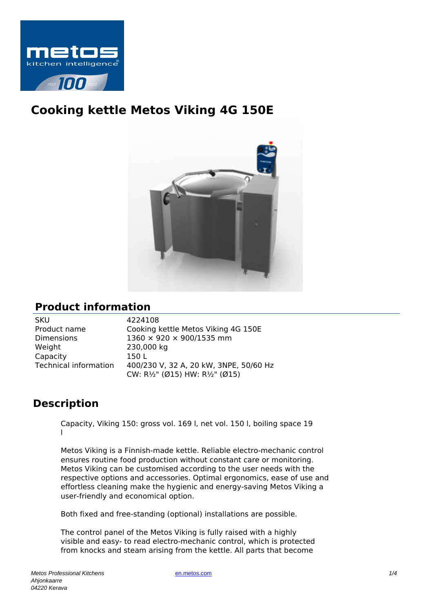

# **Cooking kettle Metos Viking 4G 150E**



### **Product information**

| SKU                          |
|------------------------------|
| Product name                 |
| Dimensions                   |
| Weight                       |
| Capacity                     |
| <b>Technical information</b> |
|                              |

4224108 Cooking kettle Metos Viking 4G 150E  $1360 \times 920 \times 900/1535$  mm 230,000 kg  $1501$ 400/230 V, 32 A, 20 kW, 3NPE, 50/60 Hz CW: R½" (Ø15) HW: R½" (Ø15)

## **Description**

Capacity, Viking 150: gross vol. 169 l, net vol. 150 l, boiling space 19 l

Metos Viking is a Finnish-made kettle. Reliable electro-mechanic control ensures routine food production without constant care or monitoring. Metos Viking can be customised according to the user needs with the respective options and accessories. Optimal ergonomics, ease of use and effortless cleaning make the hygienic and energy-saving Metos Viking a user-friendly and economical option.

Both fixed and free-standing (optional) installations are possible.

The control panel of the Metos Viking is fully raised with a highly visible and easy- to read electro-mechanic control, which is protected from knocks and steam arising from the kettle. All parts that become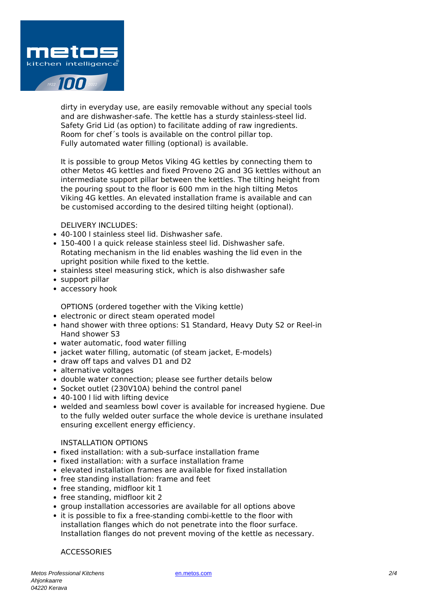

dirty in everyday use, are easily removable without any special tools and are dishwasher-safe. The kettle has a sturdy stainless-steel lid. Safety Grid Lid (as option) to facilitate adding of raw ingredients. Room for chef´s tools is available on the control pillar top. Fully automated water filling (optional) is available.

It is possible to group Metos Viking 4G kettles by connecting them to other Metos 4G kettles and fixed Proveno 2G and 3G kettles without an intermediate support pillar between the kettles. The tilting height from the pouring spout to the floor is 600 mm in the high tilting Metos Viking 4G kettles. An elevated installation frame is available and can be customised according to the desired tilting height (optional).

DELIVERY INCLUDES:

- 40-100 l stainless steel lid. Dishwasher safe.
- 150-400 l a quick release stainless steel lid. Dishwasher safe. Rotating mechanism in the lid enables washing the lid even in the upright position while fixed to the kettle.
- stainless steel measuring stick, which is also dishwasher safe
- support pillar
- accessory hook

OPTIONS (ordered together with the Viking kettle)

- electronic or direct steam operated model
- hand shower with three options: S1 Standard, Heavy Duty S2 or Reel-in Hand shower S3
- water automatic, food water filling
- jacket water filling, automatic (of steam jacket, E-models)
- draw off taps and valves D1 and D2
- alternative voltages
- double water connection; please see further details below
- Socket outlet (230V10A) behind the control panel
- 40-100 I lid with lifting device
- welded and seamless bowl cover is available for increased hygiene. Due to the fully welded outer surface the whole device is urethane insulated ensuring excellent energy efficiency.

#### INSTALLATION OPTIONS

- fixed installation: with a sub-surface installation frame
- $\bullet$  fixed installation: with a surface installation frame
- elevated installation frames are available for fixed installation
- free standing installation: frame and feet
- free standing, midfloor kit 1
- free standing, midfloor kit 2
- group installation accessories are available for all options above
- it is possible to fix a free-standing combi-kettle to the floor with installation flanges which do not penetrate into the floor surface. Installation flanges do not prevent moving of the kettle as necessary.

#### ACCESSORIES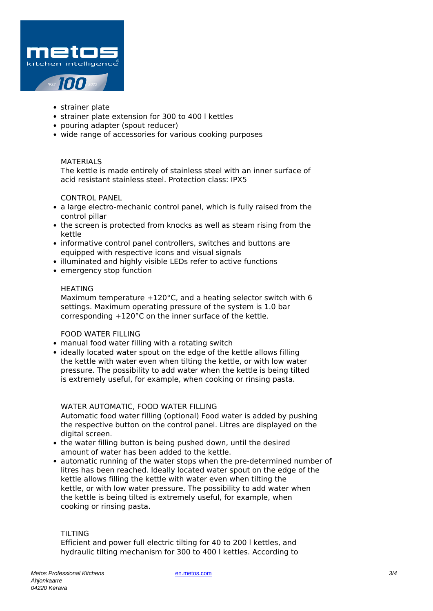

- strainer plate
- strainer plate extension for 300 to 400 l kettles
- pouring adapter (spout reducer)
- wide range of accessories for various cooking purposes

#### MATERIALS

The kettle is made entirely of stainless steel with an inner surface of acid resistant stainless steel. Protection class: IPX5

#### CONTROL PANEL

- a large electro-mechanic control panel, which is fully raised from the control pillar
- the screen is protected from knocks as well as steam rising from the kettle
- informative control panel controllers, switches and buttons are equipped with respective icons and visual signals
- illuminated and highly visible LEDs refer to active functions
- emergency stop function

#### HEATING

Maximum temperature +120°C, and a heating selector switch with 6 settings. Maximum operating pressure of the system is 1.0 bar corresponding +120°C on the inner surface of the kettle.

#### FOOD WATER FILLING

- manual food water filling with a rotating switch
- ideally located water spout on the edge of the kettle allows filling the kettle with water even when tilting the kettle, or with low water pressure. The possibility to add water when the kettle is being tilted is extremely useful, for example, when cooking or rinsing pasta.

#### WATER AUTOMATIC, FOOD WATER FILLING

Automatic food water filling (optional) Food water is added by pushing the respective button on the control panel. Litres are displayed on the digital screen.

- the water filling button is being pushed down, until the desired amount of water has been added to the kettle.
- automatic running of the water stops when the pre-determined number of litres has been reached. Ideally located water spout on the edge of the kettle allows filling the kettle with water even when tilting the kettle, or with low water pressure. The possibility to add water when the kettle is being tilted is extremely useful, for example, when cooking or rinsing pasta.

#### TILTING

Efficient and power full electric tilting for 40 to 200 l kettles, and hydraulic tilting mechanism for 300 to 400 l kettles. According to